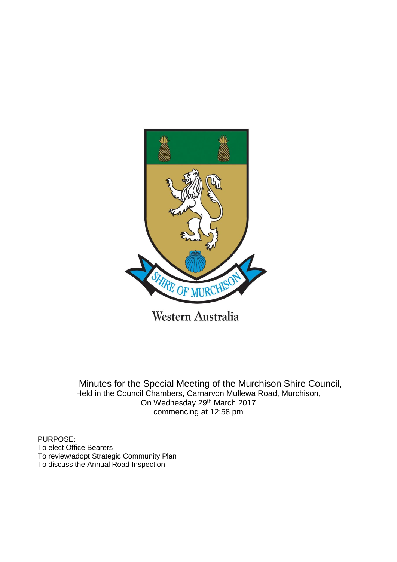

Western Australia

Minutes for the Special Meeting of the Murchison Shire Council, Held in the Council Chambers, Carnarvon Mullewa Road, Murchison, On Wednesday 29th March 2017 commencing at 12:58 pm

PURPOSE: To elect Office Bearers To review/adopt Strategic Community Plan To discuss the Annual Road Inspection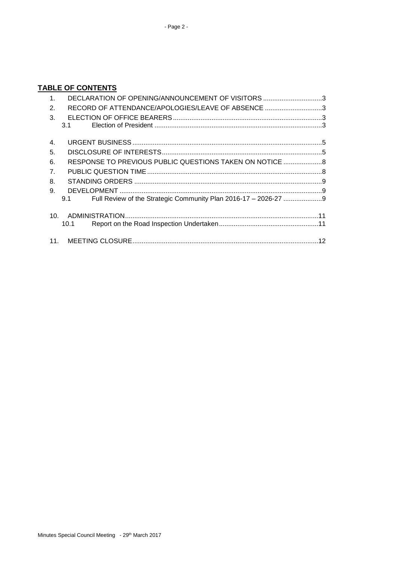# **TABLE OF CONTENTS**

| 1.              | DECLARATION OF OPENING/ANNOUNCEMENT OF VISITORS 3       |  |
|-----------------|---------------------------------------------------------|--|
| 2.              | RECORD OF ATTENDANCE/APOLOGIES/LEAVE OF ABSENCE 3       |  |
| $\mathbf{3}$ .  |                                                         |  |
|                 | 3.1                                                     |  |
| 4.              |                                                         |  |
| 5.              |                                                         |  |
| 6.              | RESPONSE TO PREVIOUS PUBLIC QUESTIONS TAKEN ON NOTICE 8 |  |
| 7.              |                                                         |  |
| 8.              |                                                         |  |
| 9.              |                                                         |  |
|                 | 9.1                                                     |  |
| 10 <sub>1</sub> |                                                         |  |
|                 | 10.1                                                    |  |
|                 |                                                         |  |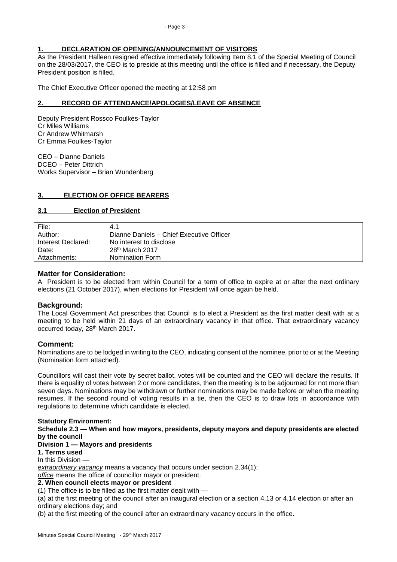### <span id="page-2-0"></span>**1. DECLARATION OF OPENING/ANNOUNCEMENT OF VISITORS**

As the President Halleen resigned effective immediately following Item 8.1 of the Special Meeting of Council on the 28/03/2017, the CEO is to preside at this meeting until the office is filled and if necessary, the Deputy President position is filled.

The Chief Executive Officer opened the meeting at 12:58 pm

#### <span id="page-2-1"></span>**2. RECORD OF ATTENDANCE/APOLOGIES/LEAVE OF ABSENCE**

Deputy President Rossco Foulkes-Taylor Cr Miles Williams Cr Andrew Whitmarsh Cr Emma Foulkes-Taylor

CEO – Dianne Daniels DCEO – Peter Dittrich Works Supervisor – Brian Wundenberg

### <span id="page-2-2"></span>**3. ELECTION OF OFFICE BEARERS**

#### <span id="page-2-3"></span>**3.1 Election of President**

| File:              | 4.1                                      |
|--------------------|------------------------------------------|
| Author:            | Dianne Daniels - Chief Executive Officer |
| Interest Declared: | No interest to disclose                  |
| Date:              | 28 <sup>th</sup> March 2017              |
| Attachments:       | Nomination Form                          |

### **Matter for Consideration:**

A President is to be elected from within Council for a term of office to expire at or after the next ordinary elections (21 October 2017), when elections for President will once again be held.

### **Background:**

The Local Government Act prescribes that Council is to elect a President as the first matter dealt with at a meeting to be held within 21 days of an extraordinary vacancy in that office. That extraordinary vacancy occurred today, 28th March 2017.

### **Comment:**

Nominations are to be lodged in writing to the CEO, indicating consent of the nominee, prior to or at the Meeting (Nomination form attached).

Councillors will cast their vote by secret ballot, votes will be counted and the CEO will declare the results. If there is equality of votes between 2 or more candidates, then the meeting is to be adjourned for not more than seven days. Nominations may be withdrawn or further nominations may be made before or when the meeting resumes. If the second round of voting results in a tie, then the CEO is to draw lots in accordance with regulations to determine which candidate is elected.

#### **Statutory Environment:**

**Schedule 2.3 — When and how mayors, presidents, deputy mayors and deputy presidents are elected by the council**

#### **Division 1 — Mayors and presidents**

**1. Terms used**

#### In this Division —

*extraordinary vacancy* means a vacancy that occurs under section 2.34(1); *office* means the office of councillor mayor or president.

### **2. When council elects mayor or president**

(1) The office is to be filled as the first matter dealt with —

(a) at the first meeting of the council after an inaugural election or a section 4.13 or 4.14 election or after an ordinary elections day; and

(b) at the first meeting of the council after an extraordinary vacancy occurs in the office.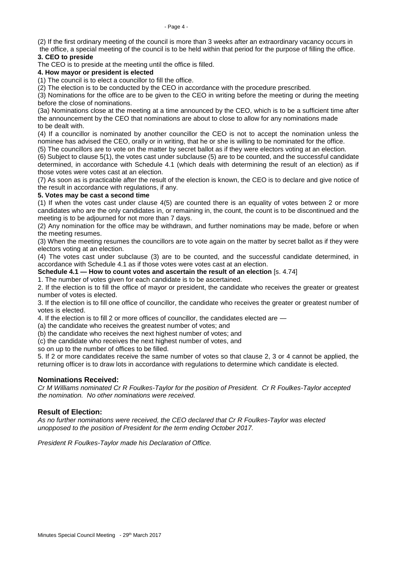(2) If the first ordinary meeting of the council is more than 3 weeks after an extraordinary vacancy occurs in

the office, a special meeting of the council is to be held within that period for the purpose of filling the office. **3. CEO to preside**

The CEO is to preside at the meeting until the office is filled.

### **4. How mayor or president is elected**

(1) The council is to elect a councillor to fill the office.

(2) The election is to be conducted by the CEO in accordance with the procedure prescribed.

(3) Nominations for the office are to be given to the CEO in writing before the meeting or during the meeting before the close of nominations.

(3a) Nominations close at the meeting at a time announced by the CEO, which is to be a sufficient time after the announcement by the CEO that nominations are about to close to allow for any nominations made to be dealt with.

(4) If a councillor is nominated by another councillor the CEO is not to accept the nomination unless the nominee has advised the CEO, orally or in writing, that he or she is willing to be nominated for the office.

(5) The councillors are to vote on the matter by secret ballot as if they were electors voting at an election.

(6) Subject to clause 5(1), the votes cast under subclause (5) are to be counted, and the successful candidate determined, in accordance with Schedule 4.1 (which deals with determining the result of an election) as if those votes were votes cast at an election.

(7) As soon as is practicable after the result of the election is known, the CEO is to declare and give notice of the result in accordance with regulations, if any.

### **5. Votes may be cast a second time**

(1) If when the votes cast under clause 4(5) are counted there is an equality of votes between 2 or more candidates who are the only candidates in, or remaining in, the count, the count is to be discontinued and the meeting is to be adjourned for not more than 7 days.

(2) Any nomination for the office may be withdrawn, and further nominations may be made, before or when the meeting resumes.

(3) When the meeting resumes the councillors are to vote again on the matter by secret ballot as if they were electors voting at an election.

(4) The votes cast under subclause (3) are to be counted, and the successful candidate determined, in accordance with Schedule 4.1 as if those votes were votes cast at an election.

**Schedule 4.1 — How to count votes and ascertain the result of an election** [s. 4.74]

1. The number of votes given for each candidate is to be ascertained.

2. If the election is to fill the office of mayor or president, the candidate who receives the greater or greatest number of votes is elected.

3. If the election is to fill one office of councillor, the candidate who receives the greater or greatest number of votes is elected.

4. If the election is to fill 2 or more offices of councillor, the candidates elected are —

(a) the candidate who receives the greatest number of votes; and

(b) the candidate who receives the next highest number of votes; and

(c) the candidate who receives the next highest number of votes, and

so on up to the number of offices to be filled.

5. If 2 or more candidates receive the same number of votes so that clause 2, 3 or 4 cannot be applied, the returning officer is to draw lots in accordance with regulations to determine which candidate is elected.

# **Nominations Received:**

*Cr M Williams nominated Cr R Foulkes-Taylor for the position of President. Cr R Foulkes-Taylor accepted the nomination. No other nominations were received.*

# **Result of Election:**

*As no further nominations were received, the CEO declared that Cr R Foulkes-Taylor was elected unopposed to the position of President for the term ending October 2017.*

*President R Foulkes-Taylor made his Declaration of Office.*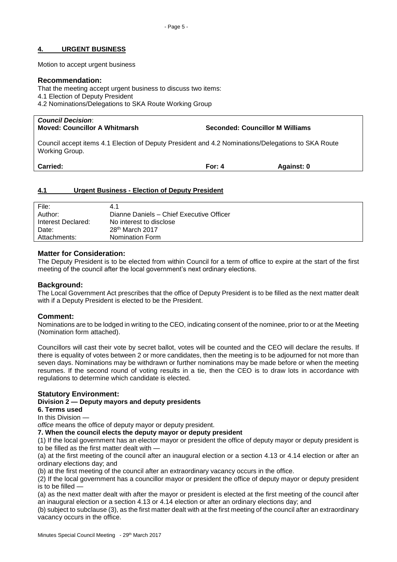#### <span id="page-4-0"></span>**4. URGENT BUSINESS**

Motion to accept urgent business

#### **Recommendation:**

That the meeting accept urgent business to discuss two items:

4.1 Election of Deputy President

4.2 Nominations/Delegations to SKA Route Working Group

| <b>Council Decision:</b><br><b>Moved: Councillor A Whitmarsh</b>                                                     | <b>Seconded: Councillor M Williams</b> |
|----------------------------------------------------------------------------------------------------------------------|----------------------------------------|
| Council accept items 4.1 Election of Deputy President and 4.2 Nominations/Delegations to SKA Route<br>Working Group. |                                        |

**Carried: For: 4 Against: 0**

#### <span id="page-4-1"></span>**4.1 Urgent Business - Election of Deputy President**

| File:              | 4.1                                      |
|--------------------|------------------------------------------|
| Author:            | Dianne Daniels - Chief Executive Officer |
| Interest Declared: | No interest to disclose                  |
| Date:              | $28th$ March 2017                        |
| Attachments:       | Nomination Form                          |

### **Matter for Consideration:**

The Deputy President is to be elected from within Council for a term of office to expire at the start of the first meeting of the council after the local government's next ordinary elections.

#### **Background:**

The Local Government Act prescribes that the office of Deputy President is to be filled as the next matter dealt with if a Deputy President is elected to be the President.

### **Comment:**

Nominations are to be lodged in writing to the CEO, indicating consent of the nominee, prior to or at the Meeting (Nomination form attached).

Councillors will cast their vote by secret ballot, votes will be counted and the CEO will declare the results. If there is equality of votes between 2 or more candidates, then the meeting is to be adjourned for not more than seven days. Nominations may be withdrawn or further nominations may be made before or when the meeting resumes. If the second round of voting results in a tie, then the CEO is to draw lots in accordance with regulations to determine which candidate is elected.

### **Statutory Environment:**

#### **Division 2 — Deputy mayors and deputy presidents**

### **6. Terms used**

In this Division —

*office* means the office of deputy mayor or deputy president.

**7. When the council elects the deputy mayor or deputy president**

(1) If the local government has an elector mayor or president the office of deputy mayor or deputy president is to be filled as the first matter dealt with -

(a) at the first meeting of the council after an inaugural election or a section 4.13 or 4.14 election or after an ordinary elections day; and

(b) at the first meeting of the council after an extraordinary vacancy occurs in the office.

(2) If the local government has a councillor mayor or president the office of deputy mayor or deputy president is to be filled —

(a) as the next matter dealt with after the mayor or president is elected at the first meeting of the council after an inaugural election or a section 4.13 or 4.14 election or after an ordinary elections day; and

(b) subject to subclause (3), as the first matter dealt with at the first meeting of the council after an extraordinary vacancy occurs in the office.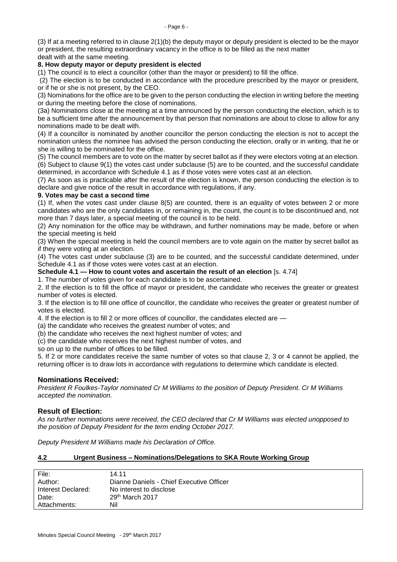(3) If at a meeting referred to in clause 2(1)(b) the deputy mayor or deputy president is elected to be the mayor or president, the resulting extraordinary vacancy in the office is to be filled as the next matter

dealt with at the same meeting.

#### **8. How deputy mayor or deputy president is elected**

(1) The council is to elect a councillor (other than the mayor or president) to fill the office.

(2) The election is to be conducted in accordance with the procedure prescribed by the mayor or president, or if he or she is not present, by the CEO.

(3) Nominations for the office are to be given to the person conducting the election in writing before the meeting or during the meeting before the close of nominations.

(3a) Nominations close at the meeting at a time announced by the person conducting the election, which is to be a sufficient time after the announcement by that person that nominations are about to close to allow for any nominations made to be dealt with.

(4) If a councillor is nominated by another councillor the person conducting the election is not to accept the nomination unless the nominee has advised the person conducting the election, orally or in writing, that he or she is willing to be nominated for the office.

(5) The council members are to vote on the matter by secret ballot as if they were electors voting at an election. (6) Subject to clause 9(1) the votes cast under subclause (5) are to be counted, and the successful candidate determined, in accordance with Schedule 4.1 as if those votes were votes cast at an election.

(7) As soon as is practicable after the result of the election is known, the person conducting the election is to declare and give notice of the result in accordance with regulations, if any.

### **9. Votes may be cast a second time**

(1) If, when the votes cast under clause 8(5) are counted, there is an equality of votes between 2 or more candidates who are the only candidates in, or remaining in, the count, the count is to be discontinued and, not more than 7 days later, a special meeting of the council is to be held.

(2) Any nomination for the office may be withdrawn, and further nominations may be made, before or when the special meeting is held

(3) When the special meeting is held the council members are to vote again on the matter by secret ballot as if they were voting at an election.

(4) The votes cast under subclause (3) are to be counted, and the successful candidate determined, under Schedule 4.1 as if those votes were votes cast at an election.

**Schedule 4.1 — How to count votes and ascertain the result of an election** [s. 4.74]

1. The number of votes given for each candidate is to be ascertained.

2. If the election is to fill the office of mayor or president, the candidate who receives the greater or greatest number of votes is elected.

3. If the election is to fill one office of councillor, the candidate who receives the greater or greatest number of votes is elected.

4. If the election is to fill 2 or more offices of councillor, the candidates elected are —

(a) the candidate who receives the greatest number of votes; and

(b) the candidate who receives the next highest number of votes; and

(c) the candidate who receives the next highest number of votes, and

so on up to the number of offices to be filled.

5. If 2 or more candidates receive the same number of votes so that clause 2, 3 or 4 cannot be applied, the returning officer is to draw lots in accordance with regulations to determine which candidate is elected.

### **Nominations Received:**

*President R Foulkes-Taylor nominated Cr M Williams to the position of Deputy President. Cr M Williams accepted the nomination.*

### **Result of Election:**

*As no further nominations were received, the CEO declared that Cr M Williams was elected unopposed to the position of Deputy President for the term ending October 2017.*

*Deputy President M Williams made his Declaration of Office.*

#### **4.2 Urgent Business – Nominations/Delegations to SKA Route Working Group**

| File:              | 14.11                                    |
|--------------------|------------------------------------------|
| Author:            | Dianne Daniels - Chief Executive Officer |
| Interest Declared: | No interest to disclose                  |
| Date:              | 29th March 2017                          |
| Attachments:       | Nil                                      |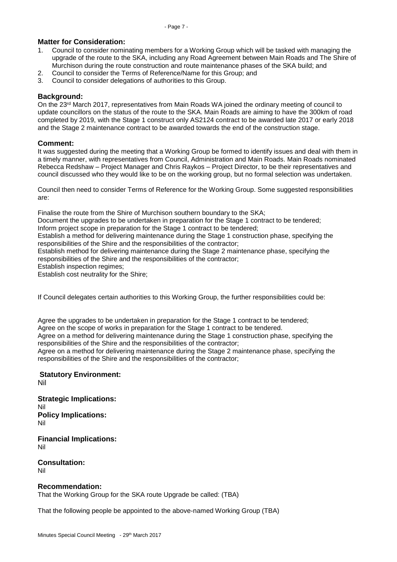### **Matter for Consideration:**

- 1. Council to consider nominating members for a Working Group which will be tasked with managing the upgrade of the route to the SKA, including any Road Agreement between Main Roads and The Shire of Murchison during the route construction and route maintenance phases of the SKA build; and
- 2. Council to consider the Terms of Reference/Name for this Group; and
- 3. Council to consider delegations of authorities to this Group.

### **Background:**

On the 23rd March 2017, representatives from Main Roads WA joined the ordinary meeting of council to update councillors on the status of the route to the SKA. Main Roads are aiming to have the 300km of road completed by 2019, with the Stage 1 construct only AS2124 contract to be awarded late 2017 or early 2018 and the Stage 2 maintenance contract to be awarded towards the end of the construction stage.

#### **Comment:**

It was suggested during the meeting that a Working Group be formed to identify issues and deal with them in a timely manner, with representatives from Council, Administration and Main Roads. Main Roads nominated Rebecca Redshaw – Project Manager and Chris Raykos – Project Director, to be their representatives and council discussed who they would like to be on the working group, but no formal selection was undertaken.

Council then need to consider Terms of Reference for the Working Group. Some suggested responsibilities are:

Finalise the route from the Shire of Murchison southern boundary to the SKA;

Document the upgrades to be undertaken in preparation for the Stage 1 contract to be tendered;

Inform project scope in preparation for the Stage 1 contract to be tendered;

Establish a method for delivering maintenance during the Stage 1 construction phase, specifying the responsibilities of the Shire and the responsibilities of the contractor;

Establish method for delivering maintenance during the Stage 2 maintenance phase, specifying the responsibilities of the Shire and the responsibilities of the contractor;

Establish inspection regimes;

Establish cost neutrality for the Shire;

If Council delegates certain authorities to this Working Group, the further responsibilities could be:

Agree the upgrades to be undertaken in preparation for the Stage 1 contract to be tendered; Agree on the scope of works in preparation for the Stage 1 contract to be tendered.

Agree on a method for delivering maintenance during the Stage 1 construction phase, specifying the responsibilities of the Shire and the responsibilities of the contractor;

Agree on a method for delivering maintenance during the Stage 2 maintenance phase, specifying the responsibilities of the Shire and the responsibilities of the contractor;

# **Statutory Environment:**

Nil

**Strategic Implications:** Nil **Policy Implications:** Nil

**Financial Implications:** Nil

**Consultation:** Nil

### **Recommendation:**

That the Working Group for the SKA route Upgrade be called: (TBA)

That the following people be appointed to the above-named Working Group (TBA)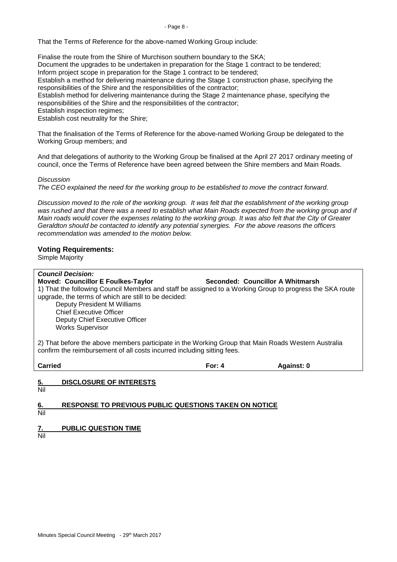That the Terms of Reference for the above-named Working Group include:

Finalise the route from the Shire of Murchison southern boundary to the SKA;

Document the upgrades to be undertaken in preparation for the Stage 1 contract to be tendered;

Inform project scope in preparation for the Stage 1 contract to be tendered;

Establish a method for delivering maintenance during the Stage 1 construction phase, specifying the responsibilities of the Shire and the responsibilities of the contractor;

Establish method for delivering maintenance during the Stage 2 maintenance phase, specifying the responsibilities of the Shire and the responsibilities of the contractor;

Establish inspection regimes;

Establish cost neutrality for the Shire;

That the finalisation of the Terms of Reference for the above-named Working Group be delegated to the Working Group members; and

And that delegations of authority to the Working Group be finalised at the April 27 2017 ordinary meeting of council, once the Terms of Reference have been agreed between the Shire members and Main Roads.

*Discussion*

*The CEO explained the need for the working group to be established to move the contract forward.*

*Discussion moved to the role of the working group. It was felt that the establishment of the working group*  was rushed and that there was a need to establish what Main Roads expected from the working group and if *Main roads would cover the expenses relating to the working group. It was also felt that the City of Greater Geraldton should be contacted to identify any potential synergies. For the above reasons the officers recommendation was amended to the motion below.*

### **Voting Requirements:**

Simple Majority

| <b>Council Decision:</b>                                                                                                                                                       |                                  |            |  |  |
|--------------------------------------------------------------------------------------------------------------------------------------------------------------------------------|----------------------------------|------------|--|--|
| <b>Moved: Councillor E Foulkes-Taylor</b>                                                                                                                                      | Seconded: Councillor A Whitmarsh |            |  |  |
| 1) That the following Council Members and staff be assigned to a Working Group to progress the SKA route                                                                       |                                  |            |  |  |
| upgrade, the terms of which are still to be decided:                                                                                                                           |                                  |            |  |  |
| <b>Deputy President M Williams</b>                                                                                                                                             |                                  |            |  |  |
| <b>Chief Executive Officer</b>                                                                                                                                                 |                                  |            |  |  |
| Deputy Chief Executive Officer                                                                                                                                                 |                                  |            |  |  |
| <b>Works Supervisor</b>                                                                                                                                                        |                                  |            |  |  |
| 2) That before the above members participate in the Working Group that Main Roads Western Australia<br>confirm the reimbursement of all costs incurred including sitting fees. |                                  |            |  |  |
| <b>Carried</b>                                                                                                                                                                 | For: $4$                         | Against: 0 |  |  |
| <b>DISCLOSURE OF INTERESTS</b><br>5.<br>Nil                                                                                                                                    |                                  |            |  |  |

<span id="page-7-0"></span>**6. RESPONSE TO PREVIOUS PUBLIC QUESTIONS TAKEN ON NOTICE**

Nil

<span id="page-7-1"></span>**7. PUBLIC QUESTION TIME**

Nil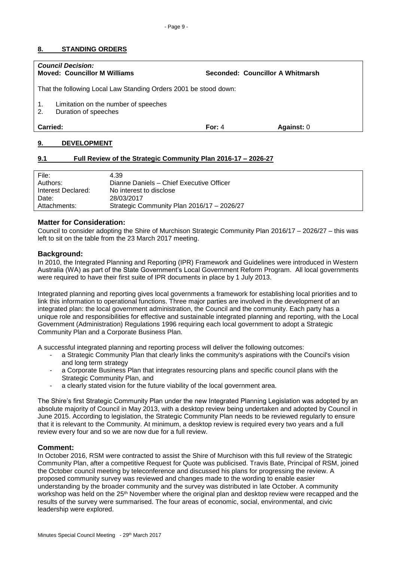# - Page 9 -

#### <span id="page-8-0"></span>**8. STANDING ORDERS**

| <b>Council Decision:</b>                                         | <b>Moved: Councillor M Williams</b>                          | Seconded: Councillor A Whitmarsh |  |  |
|------------------------------------------------------------------|--------------------------------------------------------------|----------------------------------|--|--|
| That the following Local Law Standing Orders 2001 be stood down: |                                                              |                                  |  |  |
| $\mathbf{1}$ .<br>2.                                             | Limitation on the number of speeches<br>Duration of speeches |                                  |  |  |
| Carried:<br>Against: 0<br>For: $4$                               |                                                              |                                  |  |  |

### <span id="page-8-1"></span>**9. DEVELOPMENT**

#### <span id="page-8-2"></span>**9.1 Full Review of the Strategic Community Plan 2016-17 – 2026-27**

| File:              | 4.39                                       |
|--------------------|--------------------------------------------|
| Authors:           | Dianne Daniels - Chief Executive Officer   |
| Interest Declared: | No interest to disclose                    |
| Date:              | 28/03/2017                                 |
| Attachments:       | Strategic Community Plan 2016/17 - 2026/27 |

#### **Matter for Consideration:**

Council to consider adopting the Shire of Murchison Strategic Community Plan 2016/17 – 2026/27 – this was left to sit on the table from the 23 March 2017 meeting.

#### **Background:**

In 2010, the Integrated Planning and Reporting (IPR) Framework and Guidelines were introduced in Western Australia (WA) as part of the State Government's Local Government Reform Program. All local governments were required to have their first suite of IPR documents in place by 1 July 2013.

Integrated planning and reporting gives local governments a framework for establishing local priorities and to link this information to operational functions. Three major parties are involved in the development of an integrated plan: the local government administration, the Council and the community. Each party has a unique role and responsibilities for effective and sustainable integrated planning and reporting, with the Local Government (Administration) Regulations 1996 requiring each local government to adopt a Strategic Community Plan and a Corporate Business Plan.

A successful integrated planning and reporting process will deliver the following outcomes:

- a Strategic Community Plan that clearly links the community's aspirations with the Council's vision and long term strategy
- a Corporate Business Plan that integrates resourcing plans and specific council plans with the Strategic Community Plan, and
- a clearly stated vision for the future viability of the local government area.

The Shire's first Strategic Community Plan under the new Integrated Planning Legislation was adopted by an absolute majority of Council in May 2013, with a desktop review being undertaken and adopted by Council in June 2015. According to legislation, the Strategic Community Plan needs to be reviewed regularly to ensure that it is relevant to the Community. At minimum, a desktop review is required every two years and a full review every four and so we are now due for a full review.

#### **Comment:**

In October 2016, RSM were contracted to assist the Shire of Murchison with this full review of the Strategic Community Plan, after a competitive Request for Quote was publicised. Travis Bate, Principal of RSM, joined the October council meeting by teleconference and discussed his plans for progressing the review. A proposed community survey was reviewed and changes made to the wording to enable easier understanding by the broader community and the survey was distributed in late October. A community workshop was held on the 25<sup>th</sup> November where the original plan and desktop review were recapped and the results of the survey were summarised. The four areas of economic, social, environmental, and civic leadership were explored.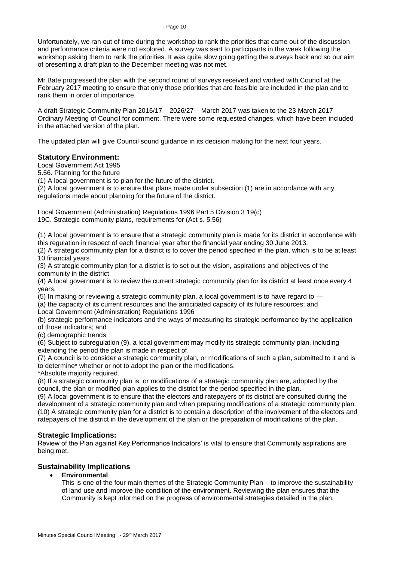Unfortunately, we ran out of time during the workshop to rank the priorities that came out of the discussion and performance criteria were not explored. A survey was sent to participants in the week following the workshop asking them to rank the priorities. It was quite slow going getting the surveys back and so our aim of presenting a draft plan to the December meeting was not met.

Mr Bate progressed the plan with the second round of surveys received and worked with Council at the February 2017 meeting to ensure that only those priorities that are feasible are included in the plan and to rank them in order of importance.

A draft Strategic Community Plan 2016/17 – 2026/27 – March 2017 was taken to the 23 March 2017 Ordinary Meeting of Council for comment. There were some requested changes, which have been included in the attached version of the plan.

The updated plan will give Council sound guidance in its decision making for the next four years.

# **Statutory Environment:**

Local Government Act 1995

5.56. Planning for the future

(1) A local government is to plan for the future of the district.

(2) A local government is to ensure that plans made under subsection (1) are in accordance with any regulations made about planning for the future of the district.

Local Government (Administration) Regulations 1996 Part 5 Division 3 19(c) 19C. Strategic community plans, requirements for (Act s. 5.56)

(1) A local government is to ensure that a strategic community plan is made for its district in accordance with this regulation in respect of each financial year after the financial year ending 30 June 2013.

(2) A strategic community plan for a district is to cover the period specified in the plan, which is to be at least 10 financial years.

(3) A strategic community plan for a district is to set out the vision, aspirations and objectives of the community in the district.

(4) A local government is to review the current strategic community plan for its district at least once every 4 years.

(5) In making or reviewing a strategic community plan, a local government is to have regard to —

(a) the capacity of its current resources and the anticipated capacity of its future resources; and Local Government (Administration) Regulations 1996

(b) strategic performance indicators and the ways of measuring its strategic performance by the application of those indicators; and

(c) demographic trends.

(6) Subject to subregulation (9), a local government may modify its strategic community plan, including extending the period the plan is made in respect of.

(7) A council is to consider a strategic community plan, or modifications of such a plan, submitted to it and is to determine\* whether or not to adopt the plan or the modifications.

\*Absolute majority required.

(8) If a strategic community plan is, or modifications of a strategic community plan are, adopted by the council, the plan or modified plan applies to the district for the period specified in the plan.

(9) A local government is to ensure that the electors and ratepayers of its district are consulted during the development of a strategic community plan and when preparing modifications of a strategic community plan. (10) A strategic community plan for a district is to contain a description of the involvement of the electors and ratepayers of the district in the development of the plan or the preparation of modifications of the plan.

# **Strategic Implications:**

Review of the Plan against Key Performance Indicators' is vital to ensure that Community aspirations are being met.

# **Sustainability Implications**

# **Environmental**

This is one of the four main themes of the Strategic Community Plan – to improve the sustainability of land use and improve the condition of the environment. Reviewing the plan ensures that the Community is kept informed on the progress of environmental strategies detailed in the plan.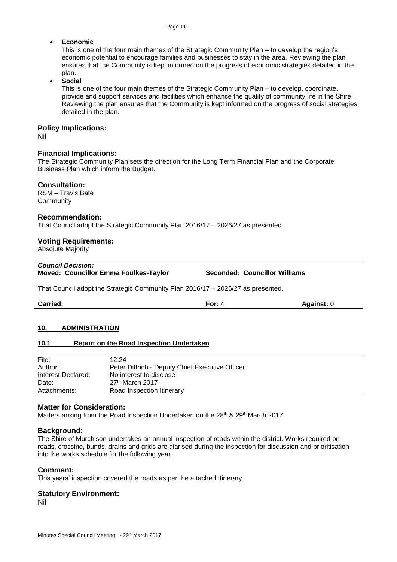### **Economic**

This is one of the four main themes of the Strategic Community Plan – to develop the region's economic potential to encourage families and businesses to stay in the area. Reviewing the plan ensures that the Community is kept informed on the progress of economic strategies detailed in the plan.

**Social**

This is one of the four main themes of the Strategic Community Plan – to develop, coordinate, provide and support services and facilities which enhance the quality of community life in the Shire. Reviewing the plan ensures that the Community is kept informed on the progress of social strategies detailed in the plan.

### **Policy Implications:**

Nil

### **Financial Implications:**

The Strategic Community Plan sets the direction for the Long Term Financial Plan and the Corporate Business Plan which inform the Budget.

### **Consultation:**

RSM – Travis Bate **Community** 

### **Recommendation:**

That Council adopt the Strategic Community Plan 2016/17 – 2026/27 as presented.

### **Voting Requirements:**

Absolute Majority

| <b>Council Decision:</b><br><b>Moved: Councillor Emma Foulkes-Taylor</b>        | <b>Seconded: Councillor Williams</b> |            |  |
|---------------------------------------------------------------------------------|--------------------------------------|------------|--|
| That Council adopt the Strategic Community Plan 2016/17 - 2026/27 as presented. |                                      |            |  |
| <b>Carried:</b>                                                                 | For: $4$                             | Against: 0 |  |

### <span id="page-10-0"></span>**10. ADMINISTRATION**

### <span id="page-10-1"></span>**10.1 Report on the Road Inspection Undertaken**

| 12.24                                           |
|-------------------------------------------------|
| Peter Dittrich - Deputy Chief Executive Officer |
| No interest to disclose                         |
| $27th$ March 2017                               |
| Road Inspection Itinerary                       |
|                                                 |

### **Matter for Consideration:**

Matters arising from the Road Inspection Undertaken on the 28<sup>th</sup> & 29<sup>th</sup> March 2017

### **Background:**

The Shire of Murchison undertakes an annual inspection of roads within the district. Works required on roads, crossing, bunds, drains and grids are diarised during the inspection for discussion and prioritisation into the works schedule for the following year.

### **Comment:**

This years' inspection covered the roads as per the attached Itinerary.

### **Statutory Environment:**

Nil